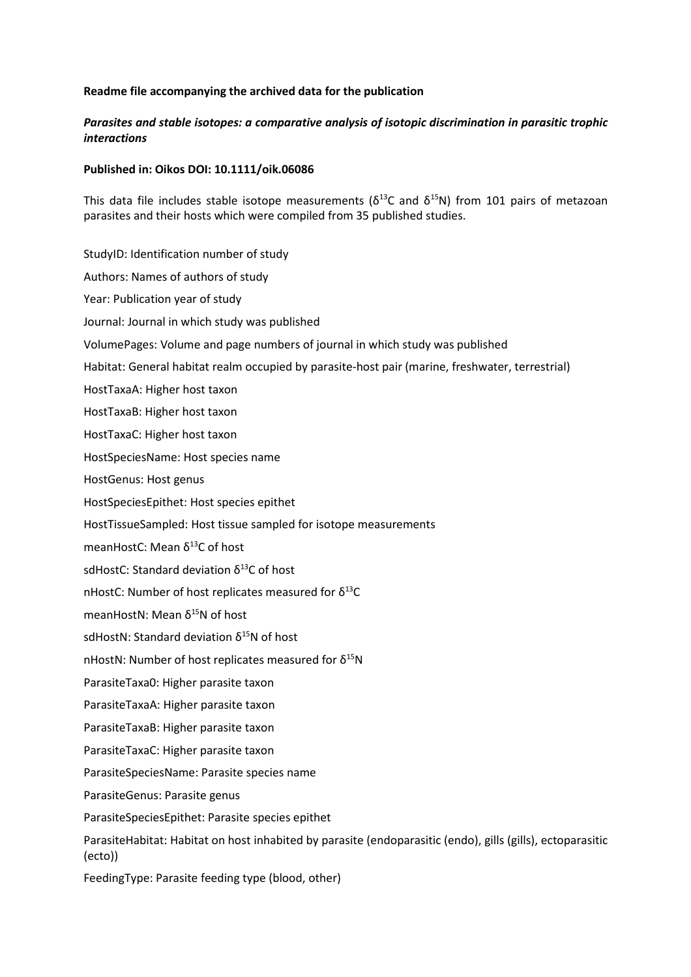## **Readme file accompanying the archived data for the publication**

## *Parasites and stable isotopes: a comparative analysis of isotopic discrimination in parasitic trophic interactions*

## **Published in: Oikos DOI: 10.1111/oik.06086**

This data file includes stable isotope measurements ( $\delta^{13}$ C and  $\delta^{15}$ N) from 101 pairs of metazoan parasites and their hosts which were compiled from 35 published studies.

StudyID: Identification number of study Authors: Names of authors of study Year: Publication year of study Journal: Journal in which study was published VolumePages: Volume and page numbers of journal in which study was published Habitat: General habitat realm occupied by parasite-host pair (marine, freshwater, terrestrial) HostTaxaA: Higher host taxon HostTaxaB: Higher host taxon HostTaxaC: Higher host taxon HostSpeciesName: Host species name HostGenus: Host genus HostSpeciesEpithet: Host species epithet HostTissueSampled: Host tissue sampled for isotope measurements meanHostC: Mean  $\delta^{13}$ C of host sdHostC: Standard deviation  $\delta^{13}$ C of host nHostC: Number of host replicates measured for  $δ<sup>13</sup>C$ meanHostN: Mean  $\delta^{15}$ N of host sdHostN: Standard deviation  $\delta^{15}$ N of host nHostN: Number of host replicates measured for  $δ^{15}N$ ParasiteTaxa0: Higher parasite taxon ParasiteTaxaA: Higher parasite taxon ParasiteTaxaB: Higher parasite taxon ParasiteTaxaC: Higher parasite taxon ParasiteSpeciesName: Parasite species name ParasiteGenus: Parasite genus ParasiteSpeciesEpithet: Parasite species epithet ParasiteHabitat: Habitat on host inhabited by parasite (endoparasitic (endo), gills (gills), ectoparasitic (ecto)) FeedingType: Parasite feeding type (blood, other)